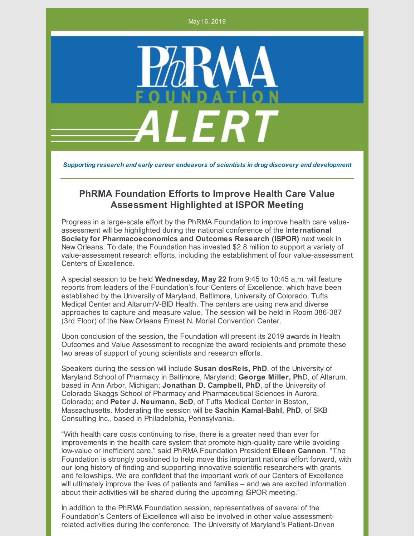May 16, 2019



*Supporting research and early career endeavors of scientists in drug discovery and development*

## **PhRMA Foundation Efforts to Improve Health Care Value Assessment Highlighted at ISPOR Meeting**

Progress in a large-scale effort by the PhRMA Foundation to improve health care valueassessment will be highlighted during the national conference of the I**nternational Society for Pharmacoeconomics and Outcomes Research (ISPOR)** next week in New Orleans. To date, the Foundation has invested \$2.8 million to support a variety of value-assessment research efforts, including the establishment of four value-assessment Centers of Excellence.

A special session to be held **Wednesday, May 22** from 9:45 to 10:45 a.m. will feature reports from leaders of the Foundation's four Centers of Excellence, which have been established by the University of Maryland, Baltimore, University of Colorado, Tufts Medical Center and Altarum/V-BID Health. The centers are using new and diverse approaches to capture and measure value. The session will be held in Room 386-387 (3rd Floor) of the New Orleans Ernest N. Morial Convention Center.

Upon conclusion of the session, the Foundation will present its 2019 awards in Health Outcomes and Value Assessment to recognize the award recipients and promote these two areas of support of young scientists and research efforts.

Speakers during the session will include **Susan dosReis, PhD**, of the University of Maryland School of Pharmacy in Baltimore, Maryland; **George Miller, Ph**D, of Altarum, based in Ann Arbor, Michigan; **Jonathan D. Campbell, PhD**, of the University of Colorado Skaggs School of Pharmacy and Pharmaceutical Sciences in Aurora, Colorado; and **Peter J. Neumann, ScD**, of Tufts Medical Center in Boston, Massachusetts. Moderating the session will be **Sachin Kamal-Bahl, PhD**, of SKB Consulting Inc., based in Philadelphia, Pennsylvania.

"With health care costs continuing to rise, there is a greater need than ever for improvements in the health care system that promote high-quality care while avoiding low-value or inefficient care," said PhRMA Foundation President **Eileen Cannon**. "The Foundation is strongly positioned to help move this important national effort forward, with our long history of finding and supporting innovative scientific researchers with grants and fellowships. We are confident that the important work of our Centers of Excellence will ultimately improve the lives of patients and families – and we are excited information about their activities will be shared during the upcoming ISPOR meeting."

In addition to the PhRMA Foundation session, representatives of several of the Foundation's Centers of Excellence will also be involved in other value assessmentrelated activities during the conference. The University of Maryland's Patient-Driven